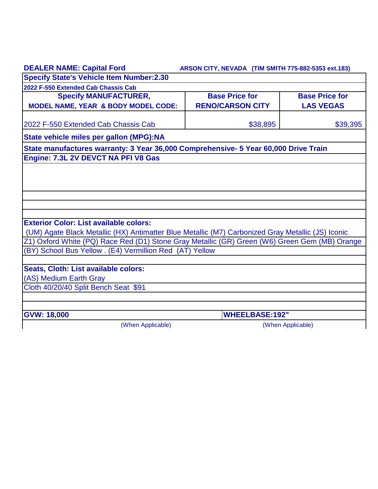| <b>DEALER NAME: Capital Ford</b>                                                                  | ARSON CITY, NEVADA (TIM SMITH 775-882-5353 ext.183) |                       |  |
|---------------------------------------------------------------------------------------------------|-----------------------------------------------------|-----------------------|--|
| <b>Specify State's Vehicle Item Number:2.30</b>                                                   |                                                     |                       |  |
| 2022 F-550 Extended Cab Chassis Cab                                                               |                                                     |                       |  |
| <b>Specify MANUFACTURER,</b>                                                                      | <b>Base Price for</b>                               | <b>Base Price for</b> |  |
| MODEL NAME, YEAR & BODY MODEL CODE:                                                               | <b>RENO/CARSON CITY</b>                             | <b>LAS VEGAS</b>      |  |
| 2022 F-550 Extended Cab Chassis Cab                                                               | \$38,895                                            | \$39,395              |  |
| State vehicle miles per gallon (MPG):NA                                                           |                                                     |                       |  |
| State manufactures warranty: 3 Year 36,000 Comprehensive- 5 Year 60,000 Drive Train               |                                                     |                       |  |
| Engine: 7.3L 2V DEVCT NA PFI V8 Gas                                                               |                                                     |                       |  |
|                                                                                                   |                                                     |                       |  |
|                                                                                                   |                                                     |                       |  |
|                                                                                                   |                                                     |                       |  |
|                                                                                                   |                                                     |                       |  |
|                                                                                                   |                                                     |                       |  |
|                                                                                                   |                                                     |                       |  |
| <b>Exterior Color: List available colors:</b>                                                     |                                                     |                       |  |
| (UM) Agate Black Metallic (HX) Antimatter Blue Metallic (M7) Carbonized Gray Metallic (JS) Iconic |                                                     |                       |  |
| Z1) Oxford White (PQ) Race Red (D1) Stone Gray Metallic (GR) Green (W6) Green Gem (MB) Orange     |                                                     |                       |  |
| (BY) School Bus Yellow . (E4) Vermillion Red (AT) Yellow                                          |                                                     |                       |  |
|                                                                                                   |                                                     |                       |  |
| Seats, Cloth: List available colors:                                                              |                                                     |                       |  |
| (AS) Medium Earth Gray                                                                            |                                                     |                       |  |
| Cloth 40/20/40 Split Bench Seat \$91                                                              |                                                     |                       |  |
|                                                                                                   |                                                     |                       |  |
| <b>GVW: 18,000</b>                                                                                | <b>WHEELBASE:192"</b>                               |                       |  |
| (When Applicable)                                                                                 |                                                     | (When Applicable)     |  |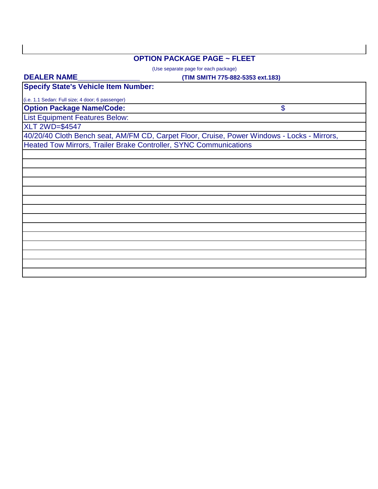## **OPTION PACKAGE PAGE ~ FLEET**

(Use separate page for each package)

### **DEALER NAME\_\_\_\_\_\_\_\_\_\_\_\_\_\_\_**

#### **(TIM SMITH 775-882-5353 ext.183)**

\$

**Specify State's Vehicle Item Number:**

**Option Package Name/Code:** (i.e. 1.1 Sedan: Full size; 4 door; 6 passenger)

List Equipment Features Below:

XLT 2WD=\$4547

40/20/40 Cloth Bench seat, AM/FM CD, Carpet Floor, Cruise, Power Windows - Locks - Mirrors, Heated Tow Mirrors, Trailer Brake Controller, SYNC Communications